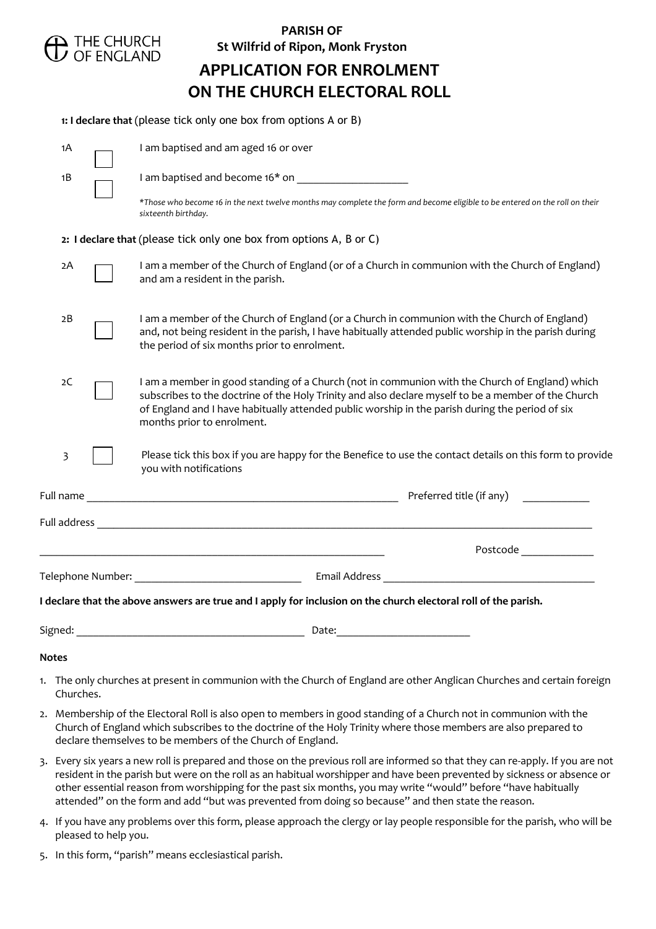

## **PARISH OF St Wilfrid of Ripon, Monk Fryston**

# **APPLICATION FOR ENROLMENT ON THE CHURCH ELECTORAL ROLL**

|                   | 1: I declare that (please tick only one box from options A or B)                                                                     |                                                                                                                                                                                                                                                                                                                                        |                                                                                                                                                    |                                                                                                                                                                                                                                 |
|-------------------|--------------------------------------------------------------------------------------------------------------------------------------|----------------------------------------------------------------------------------------------------------------------------------------------------------------------------------------------------------------------------------------------------------------------------------------------------------------------------------------|----------------------------------------------------------------------------------------------------------------------------------------------------|---------------------------------------------------------------------------------------------------------------------------------------------------------------------------------------------------------------------------------|
|                   | 1A                                                                                                                                   |                                                                                                                                                                                                                                                                                                                                        | I am baptised and am aged 16 or over                                                                                                               |                                                                                                                                                                                                                                 |
|                   | 1B                                                                                                                                   |                                                                                                                                                                                                                                                                                                                                        |                                                                                                                                                    |                                                                                                                                                                                                                                 |
|                   |                                                                                                                                      |                                                                                                                                                                                                                                                                                                                                        | *Those who become 16 in the next twelve months may complete the form and become eligible to be entered on the roll on their<br>sixteenth birthday. |                                                                                                                                                                                                                                 |
|                   |                                                                                                                                      |                                                                                                                                                                                                                                                                                                                                        | 2: I declare that (please tick only one box from options A, B or C)                                                                                |                                                                                                                                                                                                                                 |
|                   | 2A                                                                                                                                   | I am a member of the Church of England (or of a Church in communion with the Church of England)<br>and am a resident in the parish.                                                                                                                                                                                                    |                                                                                                                                                    |                                                                                                                                                                                                                                 |
|                   | 2B                                                                                                                                   | I am a member of the Church of England (or a Church in communion with the Church of England)<br>and, not being resident in the parish, I have habitually attended public worship in the parish during<br>the period of six months prior to enrolment.                                                                                  |                                                                                                                                                    |                                                                                                                                                                                                                                 |
|                   | 2C                                                                                                                                   | I am a member in good standing of a Church (not in communion with the Church of England) which<br>subscribes to the doctrine of the Holy Trinity and also declare myself to be a member of the Church<br>of England and I have habitually attended public worship in the parish during the period of six<br>months prior to enrolment. |                                                                                                                                                    |                                                                                                                                                                                                                                 |
|                   | 3                                                                                                                                    |                                                                                                                                                                                                                                                                                                                                        | Please tick this box if you are happy for the Benefice to use the contact details on this form to provide<br>you with notifications                |                                                                                                                                                                                                                                 |
|                   |                                                                                                                                      |                                                                                                                                                                                                                                                                                                                                        |                                                                                                                                                    | Preferred title (if any)                                                                                                                                                                                                        |
|                   |                                                                                                                                      |                                                                                                                                                                                                                                                                                                                                        |                                                                                                                                                    |                                                                                                                                                                                                                                 |
|                   |                                                                                                                                      |                                                                                                                                                                                                                                                                                                                                        |                                                                                                                                                    | Postcode and the state of the state of the state of the state of the state of the state of the state of the state of the state of the state of the state of the state of the state of the state of the state of the state of th |
| Telephone Number: |                                                                                                                                      |                                                                                                                                                                                                                                                                                                                                        | Email Address                                                                                                                                      |                                                                                                                                                                                                                                 |
|                   |                                                                                                                                      |                                                                                                                                                                                                                                                                                                                                        | I declare that the above answers are true and I apply for inclusion on the church electoral roll of the parish.                                    |                                                                                                                                                                                                                                 |
|                   | Signed:                                                                                                                              |                                                                                                                                                                                                                                                                                                                                        |                                                                                                                                                    |                                                                                                                                                                                                                                 |
|                   | <b>Notes</b>                                                                                                                         |                                                                                                                                                                                                                                                                                                                                        |                                                                                                                                                    |                                                                                                                                                                                                                                 |
|                   | 1. The only churches at present in communion with the Church of England are other Anglican Churches and certain foreign<br>Churches. |                                                                                                                                                                                                                                                                                                                                        |                                                                                                                                                    |                                                                                                                                                                                                                                 |
|                   |                                                                                                                                      | 2. Membership of the Electoral Roll is also open to members in good standing of a Church not in communion with the<br>Church of England which subscribes to the doctrine of the Holy Trinity where those members are also prepared to<br>declare themselves to be members of the Church of England.                                    |                                                                                                                                                    |                                                                                                                                                                                                                                 |
|                   |                                                                                                                                      |                                                                                                                                                                                                                                                                                                                                        | From civilizing a possibility proposed and those on the provision rell are informed as that their capital popular if you are                       |                                                                                                                                                                                                                                 |

- 3. Every six years a new roll is prepared and those on the previous roll are informed so that they can re-apply. If you are not resident in the parish but were on the roll as an habitual worshipper and have been prevented by sickness or absence or other essential reason from worshipping for the past six months, you may write "would" before "have habitually attended" on the form and add "but was prevented from doing so because" and then state the reason.
- 4. If you have any problems over this form, please approach the clergy or lay people responsible for the parish, who will be pleased to help you.
- 5. In this form, "parish" means ecclesiastical parish.